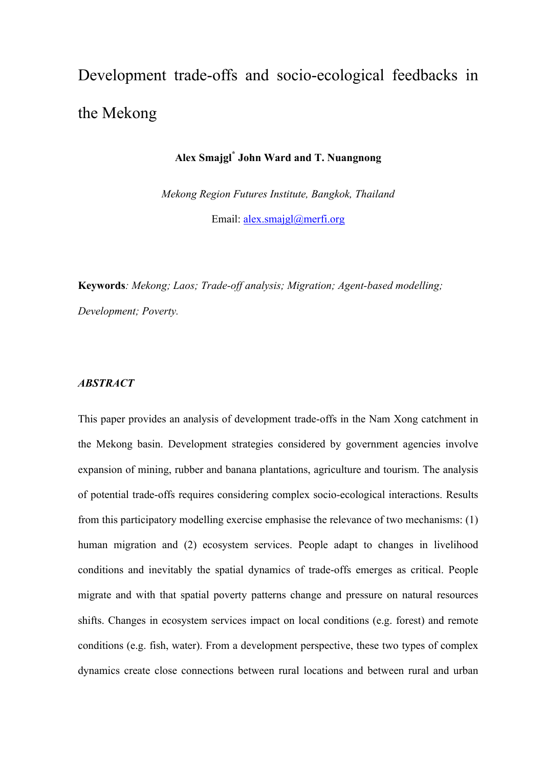# Development trade-offs and socio-ecological feedbacks in the Mekong

# **Alex Smajgl\* John Ward and T. Nuangnong**

*Mekong Region Futures Institute, Bangkok, Thailand* Email: alex.smajgl@merfi.org

**Keywords***: Mekong; Laos; Trade-off analysis; Migration; Agent-based modelling; Development; Poverty.*

## *ABSTRACT*

This paper provides an analysis of development trade-offs in the Nam Xong catchment in the Mekong basin. Development strategies considered by government agencies involve expansion of mining, rubber and banana plantations, agriculture and tourism. The analysis of potential trade-offs requires considering complex socio-ecological interactions. Results from this participatory modelling exercise emphasise the relevance of two mechanisms: (1) human migration and (2) ecosystem services. People adapt to changes in livelihood conditions and inevitably the spatial dynamics of trade-offs emerges as critical. People migrate and with that spatial poverty patterns change and pressure on natural resources shifts. Changes in ecosystem services impact on local conditions (e.g. forest) and remote conditions (e.g. fish, water). From a development perspective, these two types of complex dynamics create close connections between rural locations and between rural and urban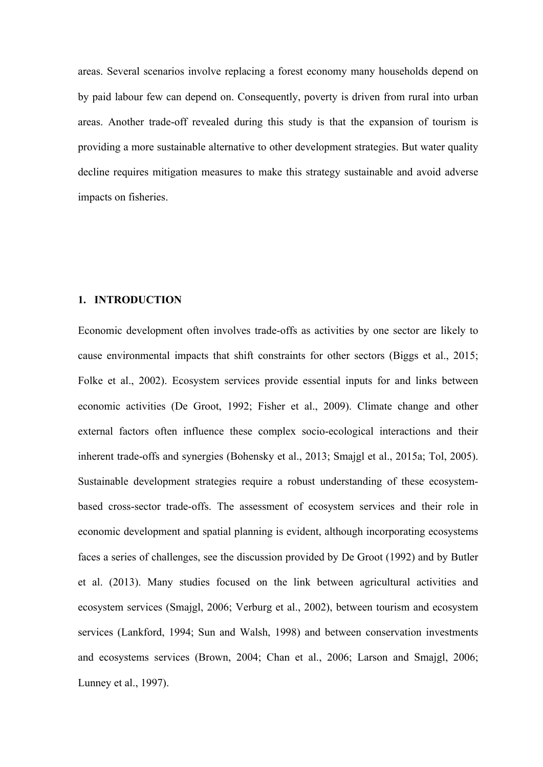areas. Several scenarios involve replacing a forest economy many households depend on by paid labour few can depend on. Consequently, poverty is driven from rural into urban areas. Another trade-off revealed during this study is that the expansion of tourism is providing a more sustainable alternative to other development strategies. But water quality decline requires mitigation measures to make this strategy sustainable and avoid adverse impacts on fisheries.

#### **1. INTRODUCTION**

Economic development often involves trade-offs as activities by one sector are likely to cause environmental impacts that shift constraints for other sectors (Biggs et al., 2015; Folke et al., 2002). Ecosystem services provide essential inputs for and links between economic activities (De Groot, 1992; Fisher et al., 2009). Climate change and other external factors often influence these complex socio-ecological interactions and their inherent trade-offs and synergies (Bohensky et al., 2013; Smajgl et al., 2015a; Tol, 2005). Sustainable development strategies require a robust understanding of these ecosystembased cross-sector trade-offs. The assessment of ecosystem services and their role in economic development and spatial planning is evident, although incorporating ecosystems faces a series of challenges, see the discussion provided by De Groot (1992) and by Butler et al. (2013). Many studies focused on the link between agricultural activities and ecosystem services (Smajgl, 2006; Verburg et al., 2002), between tourism and ecosystem services (Lankford, 1994; Sun and Walsh, 1998) and between conservation investments and ecosystems services (Brown, 2004; Chan et al., 2006; Larson and Smajgl, 2006; Lunney et al., 1997).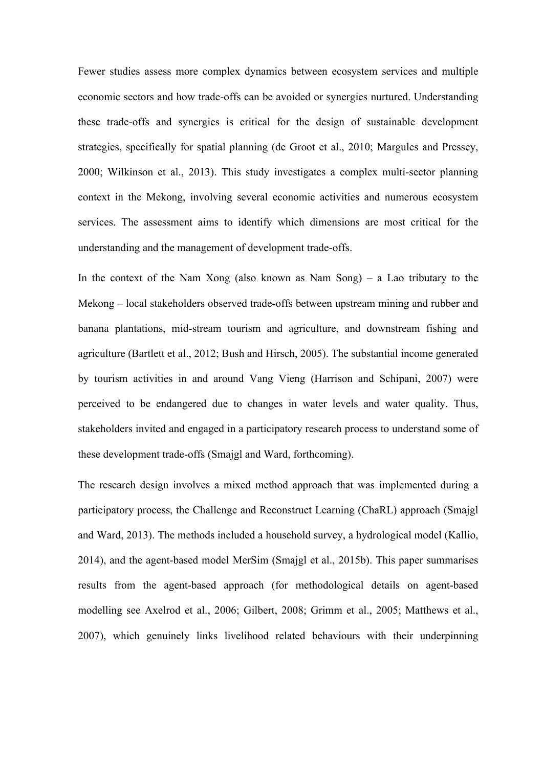Fewer studies assess more complex dynamics between ecosystem services and multiple economic sectors and how trade-offs can be avoided or synergies nurtured. Understanding these trade-offs and synergies is critical for the design of sustainable development strategies, specifically for spatial planning (de Groot et al., 2010; Margules and Pressey, 2000; Wilkinson et al., 2013). This study investigates a complex multi-sector planning context in the Mekong, involving several economic activities and numerous ecosystem services. The assessment aims to identify which dimensions are most critical for the understanding and the management of development trade-offs.

In the context of the Nam Xong (also known as Nam Song) – a Lao tributary to the Mekong – local stakeholders observed trade-offs between upstream mining and rubber and banana plantations, mid-stream tourism and agriculture, and downstream fishing and agriculture (Bartlett et al., 2012; Bush and Hirsch, 2005). The substantial income generated by tourism activities in and around Vang Vieng (Harrison and Schipani, 2007) were perceived to be endangered due to changes in water levels and water quality. Thus, stakeholders invited and engaged in a participatory research process to understand some of these development trade-offs (Smajgl and Ward, forthcoming).

The research design involves a mixed method approach that was implemented during a participatory process, the Challenge and Reconstruct Learning (ChaRL) approach (Smajgl and Ward, 2013). The methods included a household survey, a hydrological model (Kallio, 2014), and the agent-based model MerSim (Smajgl et al., 2015b). This paper summarises results from the agent-based approach (for methodological details on agent-based modelling see Axelrod et al., 2006; Gilbert, 2008; Grimm et al., 2005; Matthews et al., 2007), which genuinely links livelihood related behaviours with their underpinning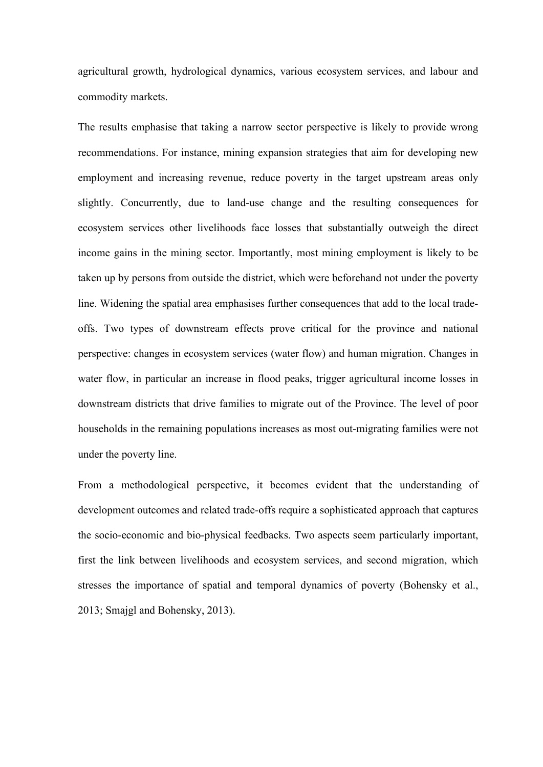agricultural growth, hydrological dynamics, various ecosystem services, and labour and commodity markets.

The results emphasise that taking a narrow sector perspective is likely to provide wrong recommendations. For instance, mining expansion strategies that aim for developing new employment and increasing revenue, reduce poverty in the target upstream areas only slightly. Concurrently, due to land-use change and the resulting consequences for ecosystem services other livelihoods face losses that substantially outweigh the direct income gains in the mining sector. Importantly, most mining employment is likely to be taken up by persons from outside the district, which were beforehand not under the poverty line. Widening the spatial area emphasises further consequences that add to the local tradeoffs. Two types of downstream effects prove critical for the province and national perspective: changes in ecosystem services (water flow) and human migration. Changes in water flow, in particular an increase in flood peaks, trigger agricultural income losses in downstream districts that drive families to migrate out of the Province. The level of poor households in the remaining populations increases as most out-migrating families were not under the poverty line.

From a methodological perspective, it becomes evident that the understanding of development outcomes and related trade-offs require a sophisticated approach that captures the socio-economic and bio-physical feedbacks. Two aspects seem particularly important, first the link between livelihoods and ecosystem services, and second migration, which stresses the importance of spatial and temporal dynamics of poverty (Bohensky et al., 2013; Smajgl and Bohensky, 2013).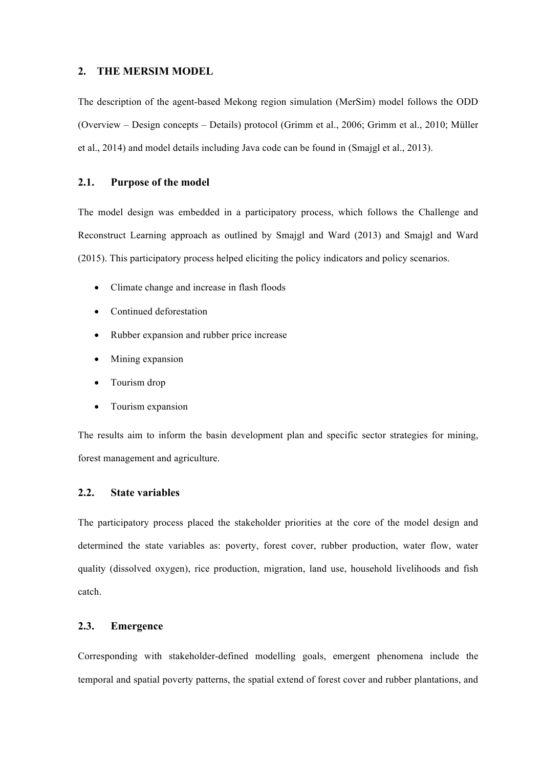#### **2. THE MERSIM MODEL**

The description of the agent-based Mekong region simulation (MerSim) model follows the ODD (Overview – Design concepts – Details) protocol (Grimm et al., 2006; Grimm et al., 2010; Müller et al., 2014) and model details including Java code can be found in (Smajgl et al., 2013).

#### **2.1. Purpose of the model**

The model design was embedded in a participatory process, which follows the Challenge and Reconstruct Learning approach as outlined by Smajgl and Ward (2013) and Smajgl and Ward (2015). This participatory process helped eliciting the policy indicators and policy scenarios.

- Climate change and increase in flash floods
- Continued deforestation
- Rubber expansion and rubber price increase
- Mining expansion
- Tourism drop
- Tourism expansion

The results aim to inform the basin development plan and specific sector strategies for mining, forest management and agriculture.

# **2.2. State variables**

The participatory process placed the stakeholder priorities at the core of the model design and determined the state variables as: poverty, forest cover, rubber production, water flow, water quality (dissolved oxygen), rice production, migration, land use, household livelihoods and fish catch.

# **2.3. Emergence**

Corresponding with stakeholder-defined modelling goals, emergent phenomena include the temporal and spatial poverty patterns, the spatial extend of forest cover and rubber plantations, and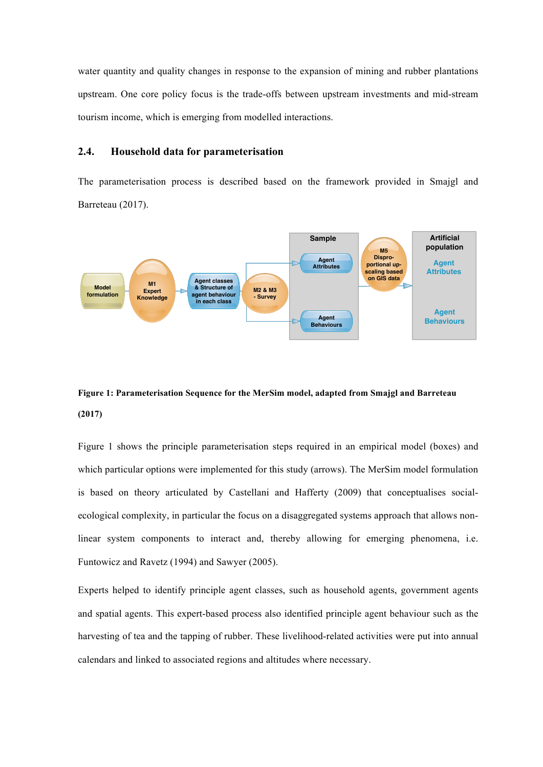water quantity and quality changes in response to the expansion of mining and rubber plantations upstream. One core policy focus is the trade-offs between upstream investments and mid-stream tourism income, which is emerging from modelled interactions.

#### **2.4. Household data for parameterisation**

The parameterisation process is described based on the framework provided in Smajgl and Barreteau (2017).



# **Figure 1: Parameterisation Sequence for the MerSim model, adapted from Smajgl and Barreteau (2017)**

Figure 1 shows the principle parameterisation steps required in an empirical model (boxes) and which particular options were implemented for this study (arrows). The MerSim model formulation is based on theory articulated by Castellani and Hafferty (2009) that conceptualises socialecological complexity, in particular the focus on a disaggregated systems approach that allows nonlinear system components to interact and, thereby allowing for emerging phenomena, i.e. Funtowicz and Ravetz (1994) and Sawyer (2005).

Experts helped to identify principle agent classes, such as household agents, government agents and spatial agents. This expert-based process also identified principle agent behaviour such as the harvesting of tea and the tapping of rubber. These livelihood-related activities were put into annual calendars and linked to associated regions and altitudes where necessary.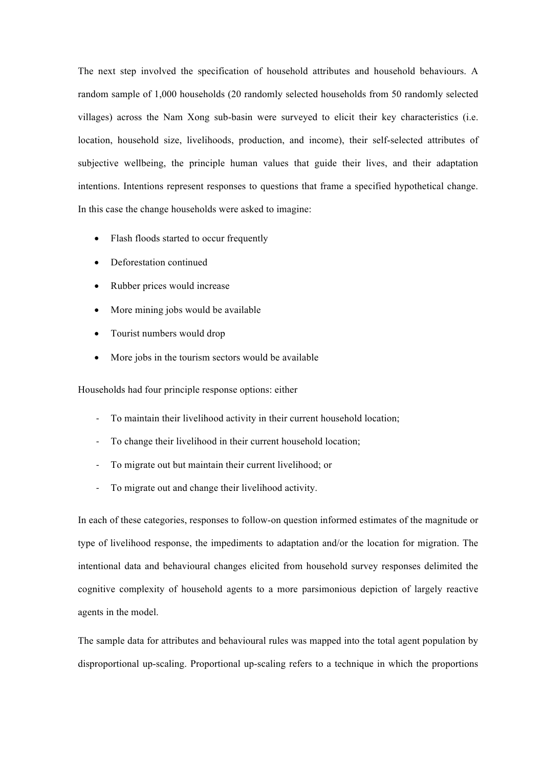The next step involved the specification of household attributes and household behaviours. A random sample of 1,000 households (20 randomly selected households from 50 randomly selected villages) across the Nam Xong sub-basin were surveyed to elicit their key characteristics (i.e. location, household size, livelihoods, production, and income), their self-selected attributes of subjective wellbeing, the principle human values that guide their lives, and their adaptation intentions. Intentions represent responses to questions that frame a specified hypothetical change. In this case the change households were asked to imagine:

- Flash floods started to occur frequently
- Deforestation continued
- Rubber prices would increase
- More mining jobs would be available
- Tourist numbers would drop
- More jobs in the tourism sectors would be available

Households had four principle response options: either

- To maintain their livelihood activity in their current household location;
- To change their livelihood in their current household location;
- To migrate out but maintain their current livelihood; or
- To migrate out and change their livelihood activity.

In each of these categories, responses to follow-on question informed estimates of the magnitude or type of livelihood response, the impediments to adaptation and/or the location for migration. The intentional data and behavioural changes elicited from household survey responses delimited the cognitive complexity of household agents to a more parsimonious depiction of largely reactive agents in the model.

The sample data for attributes and behavioural rules was mapped into the total agent population by disproportional up-scaling. Proportional up-scaling refers to a technique in which the proportions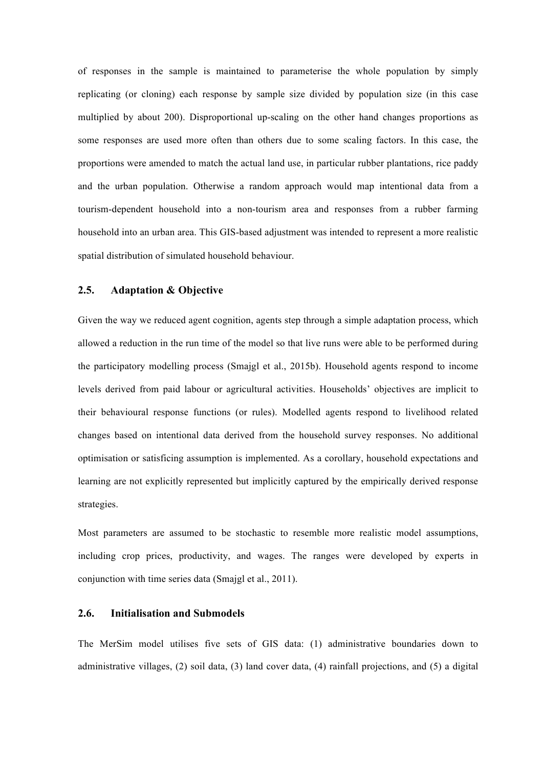of responses in the sample is maintained to parameterise the whole population by simply replicating (or cloning) each response by sample size divided by population size (in this case multiplied by about 200). Disproportional up-scaling on the other hand changes proportions as some responses are used more often than others due to some scaling factors. In this case, the proportions were amended to match the actual land use, in particular rubber plantations, rice paddy and the urban population. Otherwise a random approach would map intentional data from a tourism-dependent household into a non-tourism area and responses from a rubber farming household into an urban area. This GIS-based adjustment was intended to represent a more realistic spatial distribution of simulated household behaviour.

#### **2.5. Adaptation & Objective**

Given the way we reduced agent cognition, agents step through a simple adaptation process, which allowed a reduction in the run time of the model so that live runs were able to be performed during the participatory modelling process (Smajgl et al., 2015b). Household agents respond to income levels derived from paid labour or agricultural activities. Households' objectives are implicit to their behavioural response functions (or rules). Modelled agents respond to livelihood related changes based on intentional data derived from the household survey responses. No additional optimisation or satisficing assumption is implemented. As a corollary, household expectations and learning are not explicitly represented but implicitly captured by the empirically derived response strategies.

Most parameters are assumed to be stochastic to resemble more realistic model assumptions, including crop prices, productivity, and wages. The ranges were developed by experts in conjunction with time series data (Smajgl et al., 2011).

#### **2.6. Initialisation and Submodels**

The MerSim model utilises five sets of GIS data: (1) administrative boundaries down to administrative villages, (2) soil data, (3) land cover data, (4) rainfall projections, and (5) a digital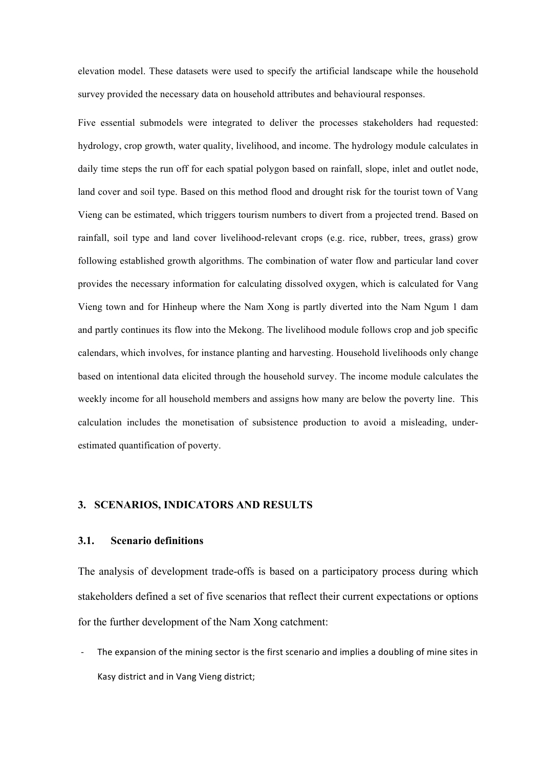elevation model. These datasets were used to specify the artificial landscape while the household survey provided the necessary data on household attributes and behavioural responses.

Five essential submodels were integrated to deliver the processes stakeholders had requested: hydrology, crop growth, water quality, livelihood, and income. The hydrology module calculates in daily time steps the run off for each spatial polygon based on rainfall, slope, inlet and outlet node, land cover and soil type. Based on this method flood and drought risk for the tourist town of Vang Vieng can be estimated, which triggers tourism numbers to divert from a projected trend. Based on rainfall, soil type and land cover livelihood-relevant crops (e.g. rice, rubber, trees, grass) grow following established growth algorithms. The combination of water flow and particular land cover provides the necessary information for calculating dissolved oxygen, which is calculated for Vang Vieng town and for Hinheup where the Nam Xong is partly diverted into the Nam Ngum 1 dam and partly continues its flow into the Mekong. The livelihood module follows crop and job specific calendars, which involves, for instance planting and harvesting. Household livelihoods only change based on intentional data elicited through the household survey. The income module calculates the weekly income for all household members and assigns how many are below the poverty line. This calculation includes the monetisation of subsistence production to avoid a misleading, underestimated quantification of poverty.

# **3. SCENARIOS, INDICATORS AND RESULTS**

#### **3.1. Scenario definitions**

The analysis of development trade-offs is based on a participatory process during which stakeholders defined a set of five scenarios that reflect their current expectations or options for the further development of the Nam Xong catchment:

The expansion of the mining sector is the first scenario and implies a doubling of mine sites in Kasy district and in Vang Vieng district: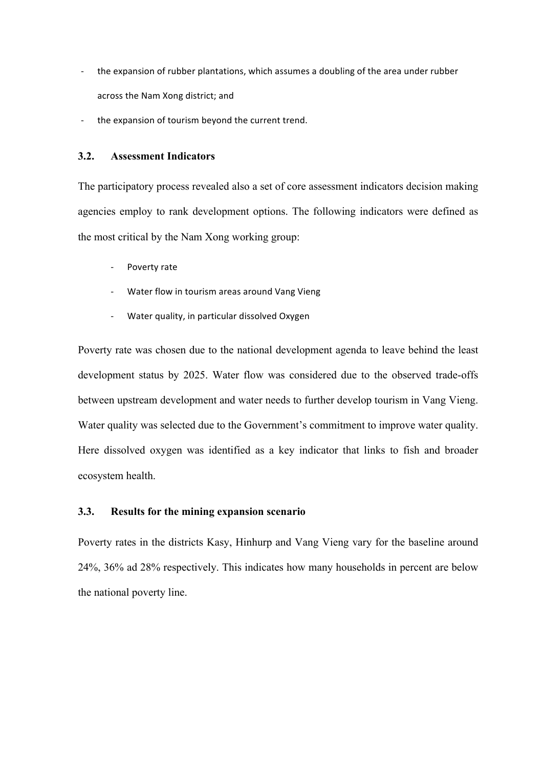- the expansion of rubber plantations, which assumes a doubling of the area under rubber across the Nam Xong district; and
- the expansion of tourism beyond the current trend.

## **3.2. Assessment Indicators**

The participatory process revealed also a set of core assessment indicators decision making agencies employ to rank development options. The following indicators were defined as the most critical by the Nam Xong working group:

- Poverty rate
- Water flow in tourism areas around Vang Vieng
- Water quality, in particular dissolved Oxygen

Poverty rate was chosen due to the national development agenda to leave behind the least development status by 2025. Water flow was considered due to the observed trade-offs between upstream development and water needs to further develop tourism in Vang Vieng. Water quality was selected due to the Government's commitment to improve water quality. Here dissolved oxygen was identified as a key indicator that links to fish and broader ecosystem health.

#### **3.3. Results for the mining expansion scenario**

Poverty rates in the districts Kasy, Hinhurp and Vang Vieng vary for the baseline around 24%, 36% ad 28% respectively. This indicates how many households in percent are below the national poverty line.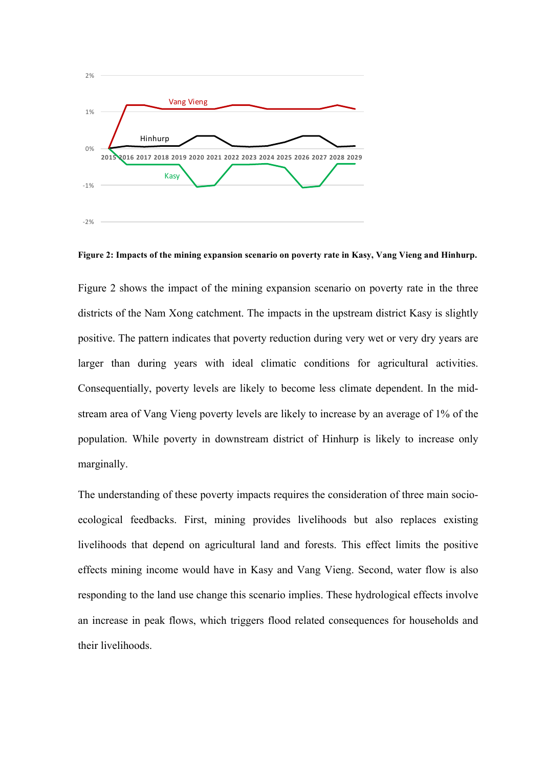

**Figure 2: Impacts of the mining expansion scenario on poverty rate in Kasy, Vang Vieng and Hinhurp.** 

Figure 2 shows the impact of the mining expansion scenario on poverty rate in the three districts of the Nam Xong catchment. The impacts in the upstream district Kasy is slightly positive. The pattern indicates that poverty reduction during very wet or very dry years are larger than during years with ideal climatic conditions for agricultural activities. Consequentially, poverty levels are likely to become less climate dependent. In the midstream area of Vang Vieng poverty levels are likely to increase by an average of 1% of the population. While poverty in downstream district of Hinhurp is likely to increase only marginally.

The understanding of these poverty impacts requires the consideration of three main socioecological feedbacks. First, mining provides livelihoods but also replaces existing livelihoods that depend on agricultural land and forests. This effect limits the positive effects mining income would have in Kasy and Vang Vieng. Second, water flow is also responding to the land use change this scenario implies. These hydrological effects involve an increase in peak flows, which triggers flood related consequences for households and their livelihoods.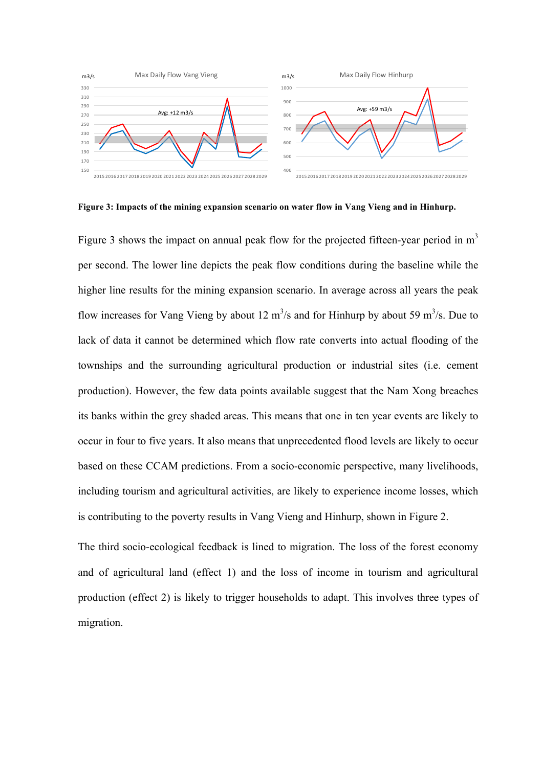

**Figure 3: Impacts of the mining expansion scenario on water flow in Vang Vieng and in Hinhurp.** 

Figure 3 shows the impact on annual peak flow for the projected fifteen-year period in  $m<sup>3</sup>$ per second. The lower line depicts the peak flow conditions during the baseline while the higher line results for the mining expansion scenario. In average across all years the peak flow increases for Vang Vieng by about 12  $\text{m}^3$ /s and for Hinhurp by about 59  $\text{m}^3$ /s. Due to lack of data it cannot be determined which flow rate converts into actual flooding of the townships and the surrounding agricultural production or industrial sites (i.e. cement production). However, the few data points available suggest that the Nam Xong breaches its banks within the grey shaded areas. This means that one in ten year events are likely to occur in four to five years. It also means that unprecedented flood levels are likely to occur based on these CCAM predictions. From a socio-economic perspective, many livelihoods, including tourism and agricultural activities, are likely to experience income losses, which is contributing to the poverty results in Vang Vieng and Hinhurp, shown in Figure 2.

The third socio-ecological feedback is lined to migration. The loss of the forest economy and of agricultural land (effect 1) and the loss of income in tourism and agricultural production (effect 2) is likely to trigger households to adapt. This involves three types of migration.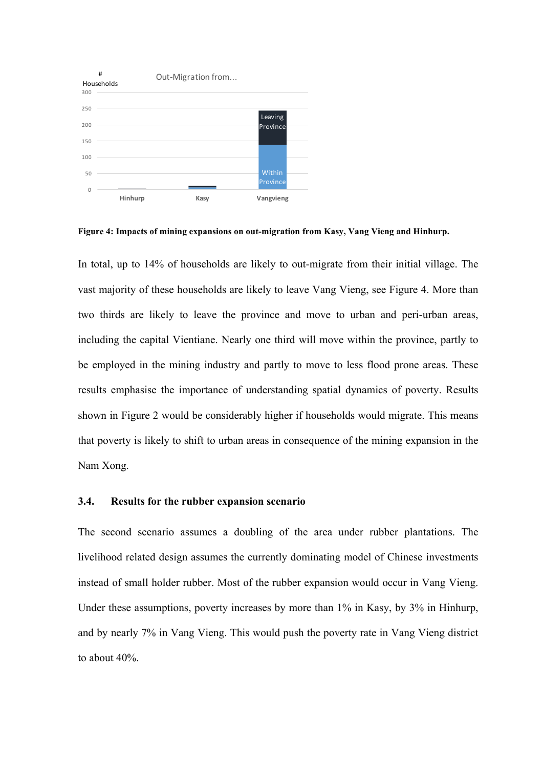

**Figure 4: Impacts of mining expansions on out-migration from Kasy, Vang Vieng and Hinhurp.** 

In total, up to 14% of households are likely to out-migrate from their initial village. The vast majority of these households are likely to leave Vang Vieng, see Figure 4. More than two thirds are likely to leave the province and move to urban and peri-urban areas, including the capital Vientiane. Nearly one third will move within the province, partly to be employed in the mining industry and partly to move to less flood prone areas. These results emphasise the importance of understanding spatial dynamics of poverty. Results shown in Figure 2 would be considerably higher if households would migrate. This means that poverty is likely to shift to urban areas in consequence of the mining expansion in the Nam Xong.

#### **3.4. Results for the rubber expansion scenario**

The second scenario assumes a doubling of the area under rubber plantations. The livelihood related design assumes the currently dominating model of Chinese investments instead of small holder rubber. Most of the rubber expansion would occur in Vang Vieng. Under these assumptions, poverty increases by more than 1% in Kasy, by 3% in Hinhurp, and by nearly 7% in Vang Vieng. This would push the poverty rate in Vang Vieng district to about 40%.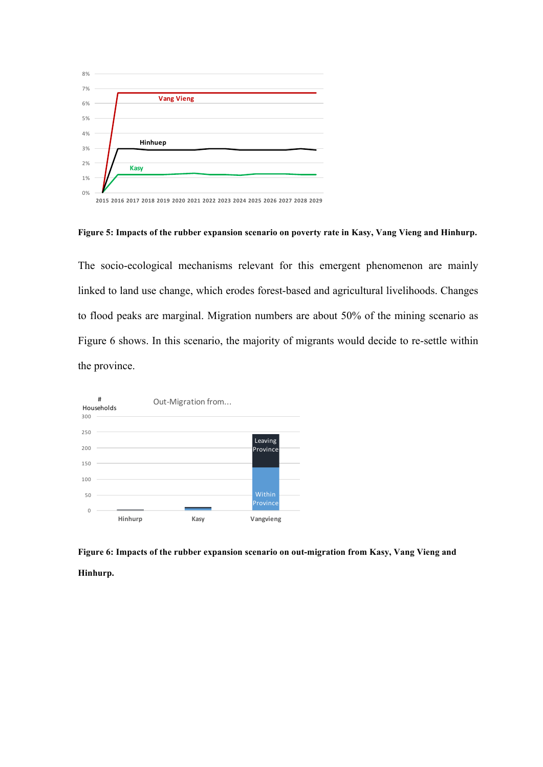

**Figure 5: Impacts of the rubber expansion scenario on poverty rate in Kasy, Vang Vieng and Hinhurp.** 

The socio-ecological mechanisms relevant for this emergent phenomenon are mainly linked to land use change, which erodes forest-based and agricultural livelihoods. Changes to flood peaks are marginal. Migration numbers are about 50% of the mining scenario as Figure 6 shows. In this scenario, the majority of migrants would decide to re-settle within the province.



**Figure 6: Impacts of the rubber expansion scenario on out-migration from Kasy, Vang Vieng and Hinhurp.**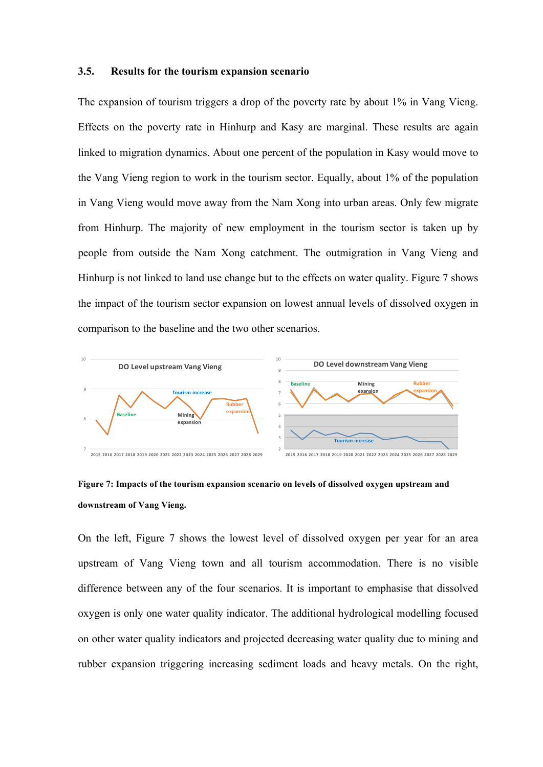#### **3.5. Results for the tourism expansion scenario**

The expansion of tourism triggers a drop of the poverty rate by about 1% in Vang Vieng. Effects on the poverty rate in Hinhurp and Kasy are marginal. These results are again linked to migration dynamics. About one percent of the population in Kasy would move to the Vang Vieng region to work in the tourism sector. Equally, about 1% of the population in Vang Vieng would move away from the Nam Xong into urban areas. Only few migrate from Hinhurp. The majority of new employment in the tourism sector is taken up by people from outside the Nam Xong catchment. The outmigration in Vang Vieng and Hinhurp is not linked to land use change but to the effects on water quality. Figure 7 shows the impact of the tourism sector expansion on lowest annual levels of dissolved oxygen in comparison to the baseline and the two other scenarios.



**Figure 7: Impacts of the tourism expansion scenario on levels of dissolved oxygen upstream and downstream of Vang Vieng.** 

On the left, Figure 7 shows the lowest level of dissolved oxygen per year for an area upstream of Vang Vieng town and all tourism accommodation. There is no visible difference between any of the four scenarios. It is important to emphasise that dissolved oxygen is only one water quality indicator. The additional hydrological modelling focused on other water quality indicators and projected decreasing water quality due to mining and rubber expansion triggering increasing sediment loads and heavy metals. On the right,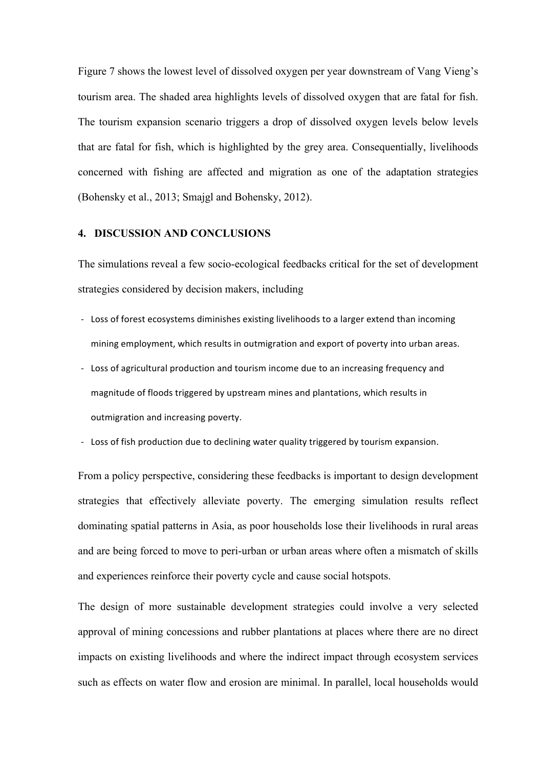Figure 7 shows the lowest level of dissolved oxygen per year downstream of Vang Vieng's tourism area. The shaded area highlights levels of dissolved oxygen that are fatal for fish. The tourism expansion scenario triggers a drop of dissolved oxygen levels below levels that are fatal for fish, which is highlighted by the grey area. Consequentially, livelihoods concerned with fishing are affected and migration as one of the adaptation strategies (Bohensky et al., 2013; Smajgl and Bohensky, 2012).

#### **4. DISCUSSION AND CONCLUSIONS**

The simulations reveal a few socio-ecological feedbacks critical for the set of development strategies considered by decision makers, including

- Loss of forest ecosystems diminishes existing livelihoods to a larger extend than incoming mining employment, which results in outmigration and export of poverty into urban areas.
- Loss of agricultural production and tourism income due to an increasing frequency and magnitude of floods triggered by upstream mines and plantations, which results in outmigration and increasing poverty.
- Loss of fish production due to declining water quality triggered by tourism expansion.

From a policy perspective, considering these feedbacks is important to design development strategies that effectively alleviate poverty. The emerging simulation results reflect dominating spatial patterns in Asia, as poor households lose their livelihoods in rural areas and are being forced to move to peri-urban or urban areas where often a mismatch of skills and experiences reinforce their poverty cycle and cause social hotspots.

The design of more sustainable development strategies could involve a very selected approval of mining concessions and rubber plantations at places where there are no direct impacts on existing livelihoods and where the indirect impact through ecosystem services such as effects on water flow and erosion are minimal. In parallel, local households would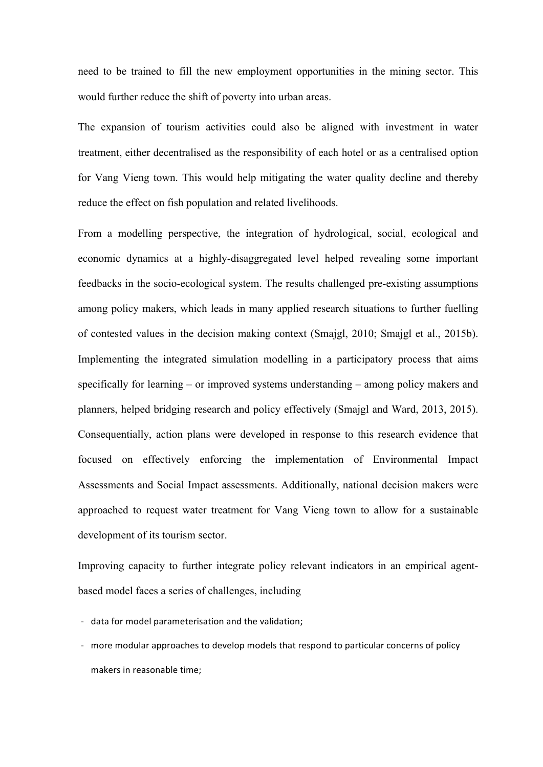need to be trained to fill the new employment opportunities in the mining sector. This would further reduce the shift of poverty into urban areas.

The expansion of tourism activities could also be aligned with investment in water treatment, either decentralised as the responsibility of each hotel or as a centralised option for Vang Vieng town. This would help mitigating the water quality decline and thereby reduce the effect on fish population and related livelihoods.

From a modelling perspective, the integration of hydrological, social, ecological and economic dynamics at a highly-disaggregated level helped revealing some important feedbacks in the socio-ecological system. The results challenged pre-existing assumptions among policy makers, which leads in many applied research situations to further fuelling of contested values in the decision making context (Smajgl, 2010; Smajgl et al., 2015b). Implementing the integrated simulation modelling in a participatory process that aims specifically for learning – or improved systems understanding – among policy makers and planners, helped bridging research and policy effectively (Smajgl and Ward, 2013, 2015). Consequentially, action plans were developed in response to this research evidence that focused on effectively enforcing the implementation of Environmental Impact Assessments and Social Impact assessments. Additionally, national decision makers were approached to request water treatment for Vang Vieng town to allow for a sustainable development of its tourism sector.

Improving capacity to further integrate policy relevant indicators in an empirical agentbased model faces a series of challenges, including

- data for model parameterisation and the validation;

- more modular approaches to develop models that respond to particular concerns of policy makers in reasonable time;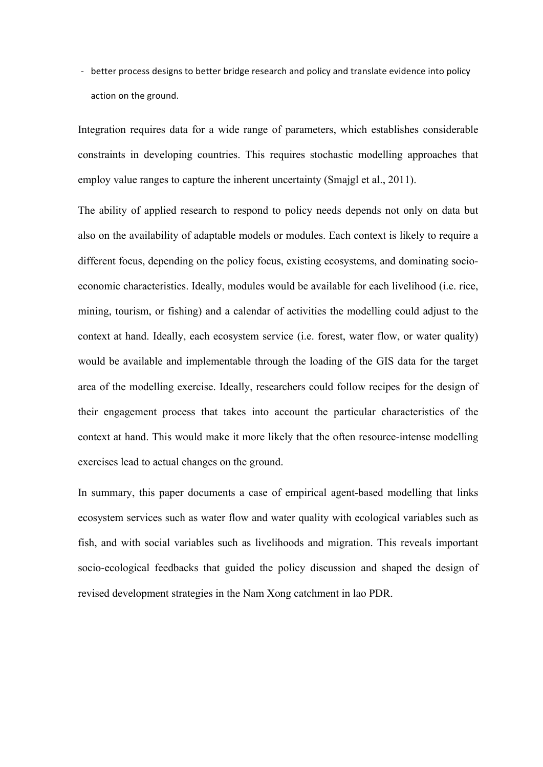- better process designs to better bridge research and policy and translate evidence into policy action on the ground.

Integration requires data for a wide range of parameters, which establishes considerable constraints in developing countries. This requires stochastic modelling approaches that employ value ranges to capture the inherent uncertainty (Smajgl et al., 2011).

The ability of applied research to respond to policy needs depends not only on data but also on the availability of adaptable models or modules. Each context is likely to require a different focus, depending on the policy focus, existing ecosystems, and dominating socioeconomic characteristics. Ideally, modules would be available for each livelihood (i.e. rice, mining, tourism, or fishing) and a calendar of activities the modelling could adjust to the context at hand. Ideally, each ecosystem service (i.e. forest, water flow, or water quality) would be available and implementable through the loading of the GIS data for the target area of the modelling exercise. Ideally, researchers could follow recipes for the design of their engagement process that takes into account the particular characteristics of the context at hand. This would make it more likely that the often resource-intense modelling exercises lead to actual changes on the ground.

In summary, this paper documents a case of empirical agent-based modelling that links ecosystem services such as water flow and water quality with ecological variables such as fish, and with social variables such as livelihoods and migration. This reveals important socio-ecological feedbacks that guided the policy discussion and shaped the design of revised development strategies in the Nam Xong catchment in lao PDR.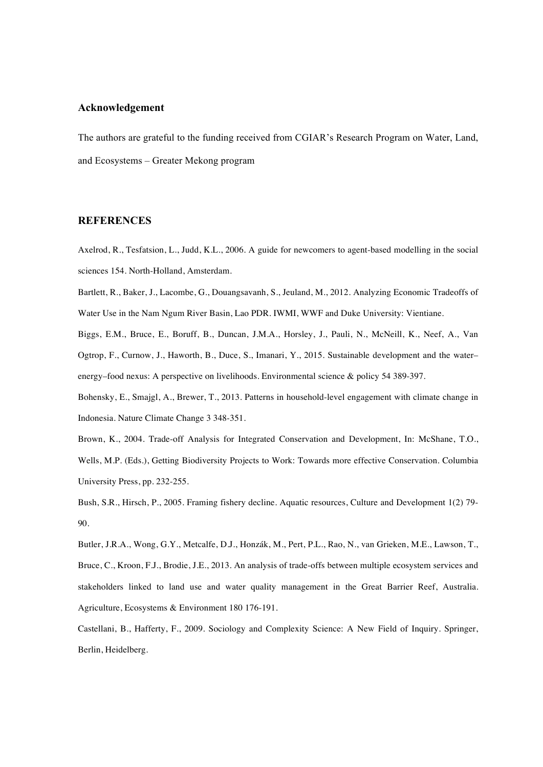#### **Acknowledgement**

The authors are grateful to the funding received from CGIAR's Research Program on Water, Land, and Ecosystems – Greater Mekong program

#### **REFERENCES**

Axelrod, R., Tesfatsion, L., Judd, K.L., 2006. A guide for newcomers to agent-based modelling in the social sciences 154. North-Holland, Amsterdam.

Bartlett, R., Baker, J., Lacombe, G., Douangsavanh, S., Jeuland, M., 2012. Analyzing Economic Tradeoffs of Water Use in the Nam Ngum River Basin, Lao PDR. IWMI, WWF and Duke University: Vientiane.

Biggs, E.M., Bruce, E., Boruff, B., Duncan, J.M.A., Horsley, J., Pauli, N., McNeill, K., Neef, A., Van Ogtrop, F., Curnow, J., Haworth, B., Duce, S., Imanari, Y., 2015. Sustainable development and the water– energy–food nexus: A perspective on livelihoods. Environmental science & policy 54 389-397.

Bohensky, E., Smajgl, A., Brewer, T., 2013. Patterns in household-level engagement with climate change in Indonesia. Nature Climate Change 3 348-351.

Brown, K., 2004. Trade-off Analysis for Integrated Conservation and Development, In: McShane, T.O., Wells, M.P. (Eds.), Getting Biodiversity Projects to Work: Towards more effective Conservation. Columbia University Press, pp. 232-255.

Bush, S.R., Hirsch, P., 2005. Framing fishery decline. Aquatic resources, Culture and Development 1(2) 79- 90.

Butler, J.R.A., Wong, G.Y., Metcalfe, D.J., Honzák, M., Pert, P.L., Rao, N., van Grieken, M.E., Lawson, T., Bruce, C., Kroon, F.J., Brodie, J.E., 2013. An analysis of trade-offs between multiple ecosystem services and stakeholders linked to land use and water quality management in the Great Barrier Reef, Australia. Agriculture, Ecosystems & Environment 180 176-191.

Castellani, B., Hafferty, F., 2009. Sociology and Complexity Science: A New Field of Inquiry. Springer, Berlin, Heidelberg.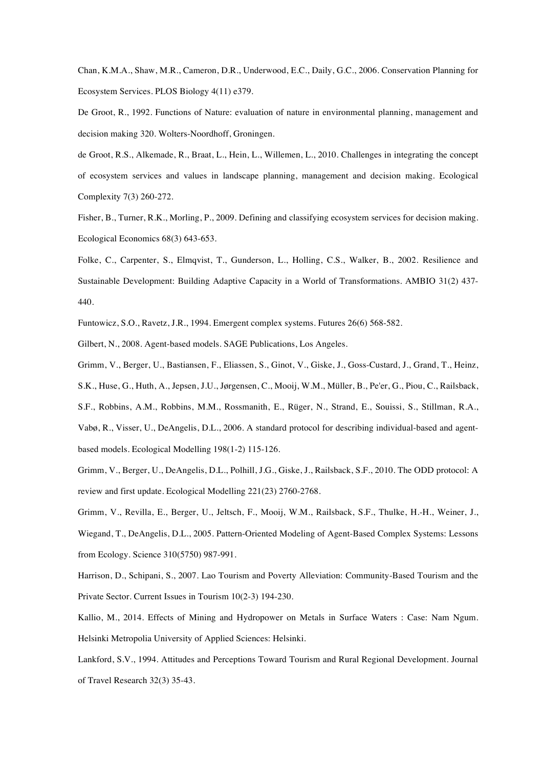Chan, K.M.A., Shaw, M.R., Cameron, D.R., Underwood, E.C., Daily, G.C., 2006. Conservation Planning for Ecosystem Services. PLOS Biology 4(11) e379.

De Groot, R., 1992. Functions of Nature: evaluation of nature in environmental planning, management and decision making 320. Wolters-Noordhoff, Groningen.

de Groot, R.S., Alkemade, R., Braat, L., Hein, L., Willemen, L., 2010. Challenges in integrating the concept of ecosystem services and values in landscape planning, management and decision making. Ecological Complexity 7(3) 260-272.

Fisher, B., Turner, R.K., Morling, P., 2009. Defining and classifying ecosystem services for decision making. Ecological Economics 68(3) 643-653.

Folke, C., Carpenter, S., Elmqvist, T., Gunderson, L., Holling, C.S., Walker, B., 2002. Resilience and Sustainable Development: Building Adaptive Capacity in a World of Transformations. AMBIO 31(2) 437- 440.

Funtowicz, S.O., Ravetz, J.R., 1994. Emergent complex systems. Futures 26(6) 568-582.

Gilbert, N., 2008. Agent-based models. SAGE Publications, Los Angeles.

Grimm, V., Berger, U., Bastiansen, F., Eliassen, S., Ginot, V., Giske, J., Goss-Custard, J., Grand, T., Heinz, S.K., Huse, G., Huth, A., Jepsen, J.U., Jørgensen, C., Mooij, W.M., Müller, B., Pe'er, G., Piou, C., Railsback, S.F., Robbins, A.M., Robbins, M.M., Rossmanith, E., Rüger, N., Strand, E., Souissi, S., Stillman, R.A., Vabø, R., Visser, U., DeAngelis, D.L., 2006. A standard protocol for describing individual-based and agentbased models. Ecological Modelling 198(1-2) 115-126.

Grimm, V., Berger, U., DeAngelis, D.L., Polhill, J.G., Giske, J., Railsback, S.F., 2010. The ODD protocol: A review and first update. Ecological Modelling 221(23) 2760-2768.

Grimm, V., Revilla, E., Berger, U., Jeltsch, F., Mooij, W.M., Railsback, S.F., Thulke, H.-H., Weiner, J., Wiegand, T., DeAngelis, D.L., 2005. Pattern-Oriented Modeling of Agent-Based Complex Systems: Lessons from Ecology. Science 310(5750) 987-991.

Harrison, D., Schipani, S., 2007. Lao Tourism and Poverty Alleviation: Community-Based Tourism and the Private Sector. Current Issues in Tourism 10(2-3) 194-230.

Kallio, M., 2014. Effects of Mining and Hydropower on Metals in Surface Waters : Case: Nam Ngum. Helsinki Metropolia University of Applied Sciences: Helsinki.

Lankford, S.V., 1994. Attitudes and Perceptions Toward Tourism and Rural Regional Development. Journal of Travel Research 32(3) 35-43.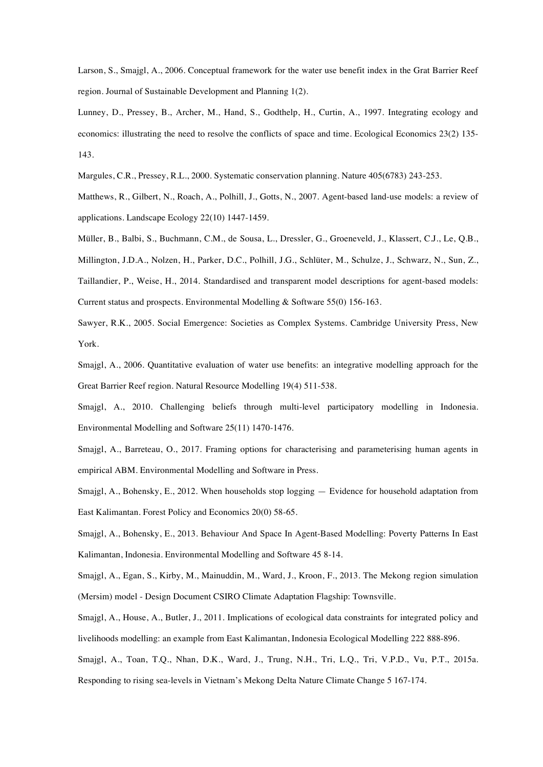Larson, S., Smajgl, A., 2006. Conceptual framework for the water use benefit index in the Grat Barrier Reef region. Journal of Sustainable Development and Planning 1(2).

Lunney, D., Pressey, B., Archer, M., Hand, S., Godthelp, H., Curtin, A., 1997. Integrating ecology and economics: illustrating the need to resolve the conflicts of space and time. Ecological Economics 23(2) 135- 143.

Margules, C.R., Pressey, R.L., 2000. Systematic conservation planning. Nature 405(6783) 243-253.

Matthews, R., Gilbert, N., Roach, A., Polhill, J., Gotts, N., 2007. Agent-based land-use models: a review of applications. Landscape Ecology 22(10) 1447-1459.

Müller, B., Balbi, S., Buchmann, C.M., de Sousa, L., Dressler, G., Groeneveld, J., Klassert, C.J., Le, Q.B., Millington, J.D.A., Nolzen, H., Parker, D.C., Polhill, J.G., Schlüter, M., Schulze, J., Schwarz, N., Sun, Z., Taillandier, P., Weise, H., 2014. Standardised and transparent model descriptions for agent-based models: Current status and prospects. Environmental Modelling & Software 55(0) 156-163.

Sawyer, R.K., 2005. Social Emergence: Societies as Complex Systems. Cambridge University Press, New York.

Smajgl, A., 2006. Quantitative evaluation of water use benefits: an integrative modelling approach for the Great Barrier Reef region. Natural Resource Modelling 19(4) 511-538.

Smajgl, A., 2010. Challenging beliefs through multi-level participatory modelling in Indonesia. Environmental Modelling and Software 25(11) 1470-1476.

Smajgl, A., Barreteau, O., 2017. Framing options for characterising and parameterising human agents in empirical ABM. Environmental Modelling and Software in Press.

Smajgl, A., Bohensky, E., 2012. When households stop logging — Evidence for household adaptation from East Kalimantan. Forest Policy and Economics 20(0) 58-65.

Smajgl, A., Bohensky, E., 2013. Behaviour And Space In Agent-Based Modelling: Poverty Patterns In East Kalimantan, Indonesia. Environmental Modelling and Software 45 8-14.

Smajgl, A., Egan, S., Kirby, M., Mainuddin, M., Ward, J., Kroon, F., 2013. The Mekong region simulation (Mersim) model - Design Document CSIRO Climate Adaptation Flagship: Townsville.

Smajgl, A., House, A., Butler, J., 2011. Implications of ecological data constraints for integrated policy and livelihoods modelling: an example from East Kalimantan, Indonesia Ecological Modelling 222 888-896.

Smajgl, A., Toan, T.Q., Nhan, D.K., Ward, J., Trung, N.H., Tri, L.Q., Tri, V.P.D., Vu, P.T., 2015a.

Responding to rising sea-levels in Vietnam's Mekong Delta Nature Climate Change 5 167-174.